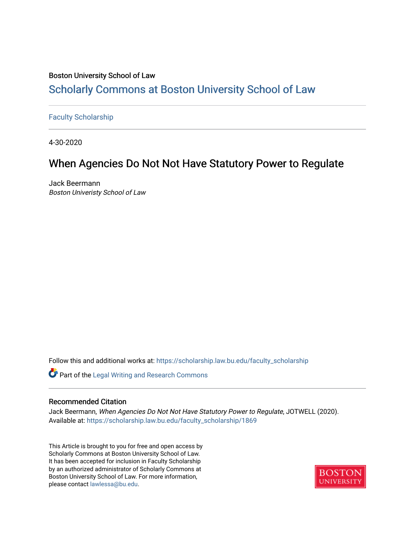## Boston University School of Law [Scholarly Commons at Boston University School of Law](https://scholarship.law.bu.edu/)

#### [Faculty Scholarship](https://scholarship.law.bu.edu/faculty_scholarship)

4-30-2020

## When Agencies Do Not Not Have Statutory Power to Regulate

Jack Beermann Boston Univeristy School of Law

Follow this and additional works at: [https://scholarship.law.bu.edu/faculty\\_scholarship](https://scholarship.law.bu.edu/faculty_scholarship?utm_source=scholarship.law.bu.edu%2Ffaculty_scholarship%2F1869&utm_medium=PDF&utm_campaign=PDFCoverPages)

Part of the [Legal Writing and Research Commons](http://network.bepress.com/hgg/discipline/614?utm_source=scholarship.law.bu.edu%2Ffaculty_scholarship%2F1869&utm_medium=PDF&utm_campaign=PDFCoverPages) 

#### Recommended Citation

Jack Beermann, When Agencies Do Not Not Have Statutory Power to Regulate, JOTWELL (2020). Available at: [https://scholarship.law.bu.edu/faculty\\_scholarship/1869](https://scholarship.law.bu.edu/faculty_scholarship/1869?utm_source=scholarship.law.bu.edu%2Ffaculty_scholarship%2F1869&utm_medium=PDF&utm_campaign=PDFCoverPages)

This Article is brought to you for free and open access by Scholarly Commons at Boston University School of Law. It has been accepted for inclusion in Faculty Scholarship by an authorized administrator of Scholarly Commons at Boston University School of Law. For more information, please contact [lawlessa@bu.edu](mailto:lawlessa@bu.edu).

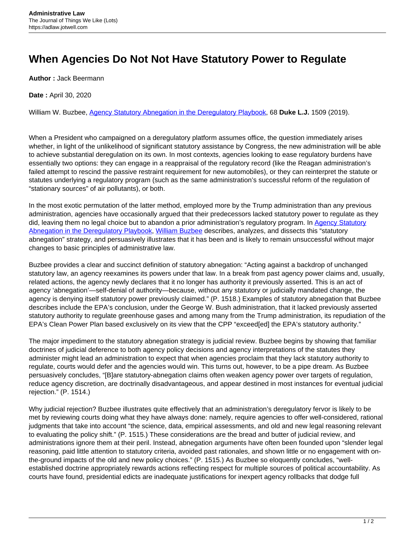# **When Agencies Do Not Not Have Statutory Power to Regulate**

**Author :** Jack Beermann

**Date :** April 30, 2020

William W. Buzbee, [Agency Statutory Abnegation in the Deregulatory Playbook,](https://scholarship.law.georgetown.edu/facpub/2120/) 68 **Duke L.J.** 1509 (2019).

When a President who campaigned on a deregulatory platform assumes office, the question immediately arises whether, in light of the unlikelihood of significant statutory assistance by Congress, the new administration will be able to achieve substantial deregulation on its own. In most contexts, agencies looking to ease regulatory burdens have essentially two options: they can engage in a reappraisal of the regulatory record (like the Reagan administration's failed attempt to rescind the passive restraint requirement for new automobiles), or they can reinterpret the statute or statutes underlying a regulatory program (such as the same administration's successful reform of the regulation of "stationary sources" of air pollutants), or both.

In the most exotic permutation of the latter method, employed more by the Trump administration than any previous administration, agencies have occasionally argued that their predecessors lacked statutory power to regulate as they did, leaving them no legal choice but to abandon a prior administration's regulatory program. In [Agency Statutory](https://scholarship.law.georgetown.edu/facpub/2120/) [Abnegation in the Deregulatory Playbook](https://scholarship.law.georgetown.edu/facpub/2120/), [William Buzbee](https://www.law.georgetown.edu/faculty/william-w-buzbee/) describes, analyzes, and dissects this "statutory abnegation" strategy, and persuasively illustrates that it has been and is likely to remain unsuccessful without major changes to basic principles of administrative law.

Buzbee provides a clear and succinct definition of statutory abnegation: "Acting against a backdrop of unchanged statutory law, an agency reexamines its powers under that law. In a break from past agency power claims and, usually, related actions, the agency newly declares that it no longer has authority it previously asserted. This is an act of agency 'abnegation'—self-denial of authority—because, without any statutory or judicially mandated change, the agency is denying itself statutory power previously claimed." (P. 1518.) Examples of statutory abnegation that Buzbee describes include the EPA's conclusion, under the George W. Bush administration, that it lacked previously asserted statutory authority to regulate greenhouse gases and among many from the Trump administration, its repudiation of the EPA's Clean Power Plan based exclusively on its view that the CPP "exceed[ed] the EPA's statutory authority."

The major impediment to the statutory abnegation strategy is judicial review. Buzbee begins by showing that familiar doctrines of judicial deference to both agency policy decisions and agency interpretations of the statutes they administer might lead an administration to expect that when agencies proclaim that they lack statutory authority to regulate, courts would defer and the agencies would win. This turns out, however, to be a pipe dream. As Buzbee persuasively concludes, "[B]are statutory-abnegation claims often weaken agency power over targets of regulation, reduce agency discretion, are doctrinally disadvantageous, and appear destined in most instances for eventual judicial rejection." (P. 1514.)

Why judicial rejection? Buzbee illustrates quite effectively that an administration's deregulatory fervor is likely to be met by reviewing courts doing what they have always done: namely, require agencies to offer well-considered, rational judgments that take into account "the science, data, empirical assessments, and old and new legal reasoning relevant to evaluating the policy shift." (P. 1515.) These considerations are the bread and butter of judicial review, and administrations ignore them at their peril. Instead, abnegation arguments have often been founded upon "slender legal reasoning, paid little attention to statutory criteria, avoided past rationales, and shown little or no engagement with onthe-ground impacts of the old and new policy choices." (P. 1515.) As Buzbee so eloquently concludes, "wellestablished doctrine appropriately rewards actions reflecting respect for multiple sources of political accountability. As courts have found, presidential edicts are inadequate justifications for inexpert agency rollbacks that dodge full